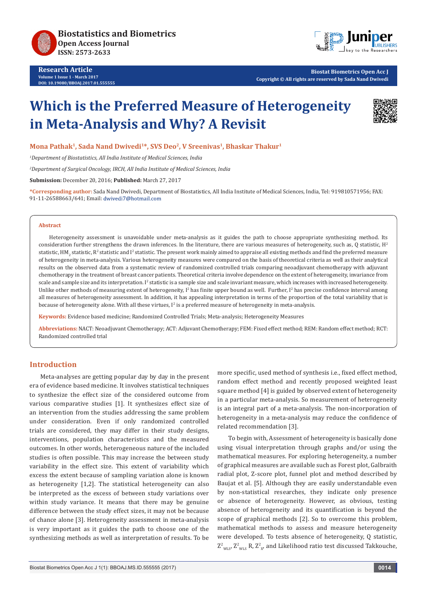



**Biostat Biometrics Open Acc J Copyright © All rights are reserved by Sada Nand Dwivedi**

# **Which is the Preferred Measure of Heterogeneity in Meta-Analysis and Why? A Revisit**



**Mona Pathak1, Sada Nand Dwivedi1\*, SVS Deo2, V Sreenivas1, Bhaskar Thakur1**

*1 Department of Biostatistics, All India Institute of Medical Sciences, India*

*2 Department of Surgical Oncology, IRCH, All India Institute of Medical Sciences, India* 

**Submission:** December 20, 2016; **Published:** March 27, 2017

**\*Corresponding author:** Sada Nand Dwivedi, Department of Biostatistics, All India Institute of Medical Sciences, India, Tel: 919810571956; FAX: 91-11-26588663/641; Email: dwivedi7@hotmail.com

#### **Abstract**

Heterogeneity assessment is unavoidable under meta-analysis as it guides the path to choose appropriate synthesizing method. Its consideration further strengthens the drawn inferences. In the literature, there are various measures of heterogeneity, such as, Q statistic, H<sup>2</sup> statistic, HM<sub>2</sub> statistic, R<sup>z</sup> statistic and I<del>'</del> statistic. The present work mainly aimed to appraise all existing methods and find the preferred measure of heterogeneity in meta-analysis. Various heterogeneity measures were compared on the basis of theoretical criteria as well as their analytical results on the observed data from a systematic review of randomized controlled trials comparing neoadjuvant chemotherapy with adjuvant chemotherapy in the treatment of breast cancer patients. Theoretical criteria involve dependence on the extent of heterogeneity, invariance from scale and sample size and its interpretation. I<sup>2</sup> statistic is a sample size and scale invariant measure, which increases with increased heterogeneity. Unlike other methods of measuring extent of heterogeneity, I<sup>2</sup> has finite upper bound as well. Further, I<sup>2</sup> has precise confidence interval among all measures of heterogeneity assessment. In addition, it has appealing interpretation in terms of the proportion of the total variability that is because of heterogeneity alone. With all these virtues,  $I^2$  is a preferred measure of heterogeneity in meta-analysis.

**Keywords:** Evidence based medicine; Randomized Controlled Trials; Meta-analysis; Heterogeneity Measures

**Abbreviations:** NACT: Neoadjuvant Chemotherapy; ACT: Adjuvant Chemotherapy; FEM: Fixed effect method; REM: Random effect method; RCT: Randomized controlled trial

#### **Introduction**

Meta-analyses are getting popular day by day in the present era of evidence based medicine. It involves statistical techniques to synthesize the effect size of the considered outcome from various comparative studies [1]. It synthesizes effect size of an intervention from the studies addressing the same problem under consideration. Even if only randomized controlled trials are considered, they may differ in their study designs, interventions, population characteristics and the measured outcomes. In other words, heterogeneous nature of the included studies is often possible. This may increase the between study variability in the effect size. This extent of variability which excess the extent because of sampling variation alone is known as heterogeneity [1,2]. The statistical heterogeneity can also be interpreted as the excess of between study variations over within study variance. It means that there may be genuine difference between the study effect sizes, it may not be because of chance alone [3]. Heterogeneity assessment in meta-analysis is very important as it guides the path to choose one of the synthesizing methods as well as interpretation of results. To be more specific, used method of synthesis i.e., fixed effect method, random effect method and recently proposed weighted least square method [4] is guided by observed extent of heterogeneity in a particular meta-analysis. So measurement of heterogeneity is an integral part of a meta-analysis. The non-incorporation of heterogeneity in a meta-analysis may reduce the confidence of related recommendation [3].

To begin with, Assessment of heterogeneity is basically done using visual interpretation through graphs and/or using the mathematical measures. For exploring heterogeneity, a number of graphical measures are available such as Forest plot, Galbraith radial plot, Z-score plot, funnel plot and method described by Baujat et al. [5]. Although they are easily understandable even by non-statistical researches, they indicate only presence or absence of heterogeneity. However, as obvious, testing absence of heterogeneity and its quantification is beyond the scope of graphical methods [2]. So to overcome this problem, mathematical methods to assess and measure heterogeneity were developed. To tests absence of heterogeneity, Q statistic,  $Z^2_{\text{wLs}}$ ,  $Z^2_{\text{wLs}}$  R,  $Z^2_{\text{wL}}$  and Likelihood ratio test discussed Takkouche,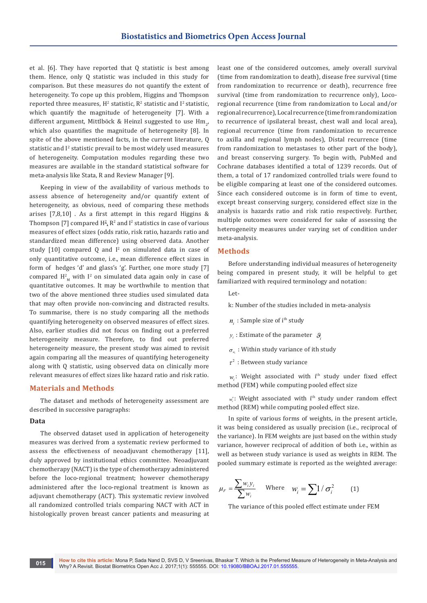et al. [6]. They have reported that Q statistic is best among them. Hence, only Q statistic was included in this study for comparison. But these measures do not quantify the extent of heterogeneity. To cope up this problem, Higgins and Thompson reported three measures,  $H^2$  statistic,  $R^2$  statistic and I<sup>2</sup> statistic, which quantify the magnitude of heterogeneity [7]. With a different argument, Mittlböck & Heinzl suggested to use  $\text{Hm}_{2'}$ which also quantifies the magnitude of heterogeneity [8]. In spite of the above mentioned facts, in the current literature, Q statistic and I<sup>2</sup> statistic prevail to be most widely used measures of heterogeneity. Computation modules regarding these two measures are available in the standard statistical software for meta-analysis like Stata, R and Review Manager [9].

Keeping in view of the availability of various methods to assess absence of heterogeneity and/or quantify extent of heterogeneity, as obvious, need of comparing these methods arises [7,8,10] . As a first attempt in this regard Higgins & Thompson [7] compared  $H^2$ ,  $\mathbb{R}^2$  and I<sup>2</sup> statistics in case of various measures of effect sizes (odds ratio, risk ratio, hazards ratio and standardized mean difference) using observed data. Another study  $[10]$  compared  $Q$  and  $I<sup>2</sup>$  on simulated data in case of only quantitative outcome, i.e., mean difference effect sizes in form of hedges 'd' and glass's 'g'. Further, one more study [7] compared  $H_{M}^{2}$  with  $I^{2}$  on simulated data again only in case of quantitative outcomes. It may be worthwhile to mention that two of the above mentioned three studies used simulated data that may often provide non-convincing and distracted results. To summarise, there is no study comparing all the methods quantifying heterogeneity on observed measures of effect sizes. Also, earlier studies did not focus on finding out a preferred heterogeneity measure. Therefore, to find out preferred heterogeneity measure, the present study was aimed to revisit again comparing all the measures of quantifying heterogeneity along with Q statistic, using observed data on clinically more relevant measures of effect sizes like hazard ratio and risk ratio.

## **Materials and Methods**

The dataset and methods of heterogeneity assessment are described in successive paragraphs:

#### **Data**

The observed dataset used in application of heterogeneity measures was derived from a systematic review performed to assess the effectiveness of neoadjuvant chemotherapy [11], duly approved by institutional ethics committee. Neoadjuvant chemotherapy (NACT) is the type of chemotherapy administered before the loco-regional treatment; however chemotherapy administered after the loco-regional treatment is known as adjuvant chemotherapy (ACT). This systematic review involved all randomized controlled trials comparing NACT with ACT in histologically proven breast cancer patients and measuring at least one of the considered outcomes, amely overall survival (time from randomization to death), disease free survival (time from randomization to recurrence or death), recurrence free survival (time from randomization to recurrence only), Locoregional recurrence (time from randomization to Local and/or regional recurrence), Local recurrence (time from randomization to recurrence of ipsilateral breast, chest wall and local area), regional recurrence (time from randomization to recurrence to axilla and regional lymph nodes), Distal recurrence (time from randomization to metastases to other part of the body), and breast conserving surgery. To begin with, PubMed and Cochrane databases identified a total of 1239 records. Out of them, a total of 17 randomized controlled trials were found to be eligible comparing at least one of the considered outcomes. Since each considered outcome is in form of time to event, except breast conserving surgery, considered effect size in the analysis is hazards ratio and risk ratio respectively. Further, multiple outcomes were considered for sake of assessing the heterogeneity measures under varying set of condition under meta-analysis.

#### **Methods**

Before understanding individual measures of heterogeneity being compared in present study, it will be helpful to get familiarized with required terminology and notation:

Let-

- k: Number of the studies included in meta-analysis
- $n_i$ : Sample size of i<sup>th</sup> study
- $y_i$ : Estimate of the parameter  $\mathcal{G}_i$
- $\sigma_{\nu}$ : Within study variance of ith study
- $\tau^2$ : Between study variance

 $w_i$ : Weight associated with i<sup>th</sup> study under fixed effect method (FEM) while computing pooled effect size

 $w_i$ : Weight associated with i<sup>th</sup> study under random effect method (REM) while computing pooled effect size.

In spite of various forms of weights, in the present article, it was being considered as usually precision (i.e., reciprocal of the variance). In FEM weights are just based on the within study variance, however reciprocal of addition of both i.e., within as well as between study variance is used as weights in REM. The pooled summary estimate is reported as the weighted average:

$$
\mu_F = \frac{\sum w_i y_i}{\sum w_i} \quad \text{Where} \quad w_i = \sum 1 / \sigma_i^2 \quad (1)
$$

The variance of this pooled effect estimate under FEM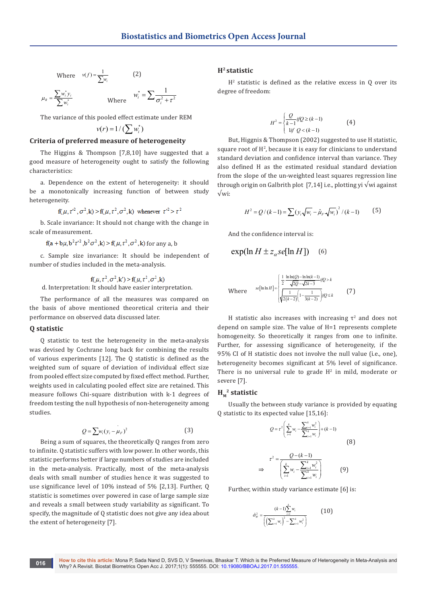Where 
$$
v(f) = \frac{1}{\sum w_i}
$$
 (2)

$$
\mu_{R} = \frac{\sum w_{i}^{*} y_{i}}{\sum w_{i}^{*}} \qquad \qquad \text{Where} \qquad w_{i}^{*} = \sum \frac{1}{\sigma_{i}^{2} + \tau^{2}}
$$

The variance of this pooled effect estimate under REM

$$
v(r) = 1/(\sum w_i^*)
$$

## **Criteria of preferred measure of heterogeneity**

The Higgins & Thompson [7,8,10] have suggested that a good measure of heterogeneity ought to satisfy the following characteristics:

a. Dependence on the extent of heterogeneity: it should be a monotonically increasing function of between study heterogeneity.

$$
f(\mu, \tau^2, \sigma^2, k) > f(\mu, \tau^2, \sigma^2, k) \text{ whenever } \tau^2 > \tau^2
$$

b. Scale invariance: It should not change with the change in scale of measurement.

$$
f(a+b\mu, b^2\tau^2, b^2\sigma^2, k) > f(\mu, \tau^2, \sigma^2, k)
$$
 for any  $a, b$ 

c. Sample size invariance: It should be independent of number of studies included in the meta-analysis.

 $f(\mu, \tau^2, \sigma^2, k') > f(\mu, \tau^2, \sigma^2, k)$ <br>d. Interpretation: It should have easier interpretation.

The performance of all the measures was compared on the basis of above mentioned theoretical criteria and their performance on observed data discussed later.

#### **Q statistic**

Q statistic to test the heterogeneity in the meta-analysis was devised by Cochrane long back for combining the results of various experiments [12]. The Q statistic is defined as the weighted sum of square of deviation of individual effect size from pooled effect size computed by fixed effect method. Further, weights used in calculating pooled effect size are retained. This measure follows Chi-square distribution with k-1 degrees of freedom testing the null hypothesis of non-heterogeneity among studies.

$$
Q = \sum w_i (y_i - \mu_F)^2
$$
 (3)

Being a sum of squares, the theoretically Q ranges from zero to infinite. Q statistic suffers with low power. In other words, this statistic performs better if large numbers of studies are included in the meta-analysis. Practically, most of the meta-analysis deals with small number of studies hence it was suggested to use significance level of 10% instead of 5% [2,13]. Further, Q statistic is sometimes over powered in case of large sample size and reveals a small between study variability as significant. To specify, the magnitude of Q statistic does not give any idea about the extent of heterogeneity [7].

## **H2 statistic**

 $H<sup>2</sup>$  statistic is defined as the relative excess in Q over its degree of freedom:

$$
H^{2} = \begin{cases} \frac{Q}{k-1} i f Q \ge (k-1) \\ \text{li} f Q < (k-1) \end{cases} \tag{4}
$$

But, Higgnis & Thompson (2002) suggested to use H statistic, square root of  $H^2$ , because it is easy for clinicians to understand standard deviation and confidence interval than variance. They also defined H as the estimated residual standard deviation from the slope of the un-weighted least squares regression line through origin on Galbrith plot [7,14] i.e., plotting yi  $\sqrt{w}$ i against √wi:

$$
H^{2} = Q/(k-1) = \sum (y_{i}\sqrt{w_{i}} - \hat{\mu}_{F} \sqrt{w_{i}})^{2} / (k-1)
$$
 (5)

And the confidence interval is:

$$
\exp(\ln H \pm z_{\alpha} \text{se}[\ln H]) \quad (6)
$$

Where 
$$
se[\ln \ln H] = \begin{cases} \frac{1}{2} \cdot \frac{\ln \ln(Q) - \ln \ln(k-1)}{\sqrt{2Q} - \sqrt{2k-3}} i/Q > k \\ \sqrt{\frac{1}{2(k-2)} \left(1 - \frac{1}{3(k-2)}\right)} j/Q \le k \end{cases}
$$
(7)

H statistic also increases with increasing  $\tau^2$  and does not depend on sample size. The value of H=1 represents complete homogeneity. So theoretically it ranges from one to infinite. Further, for assessing significance of heterogeneity, if the 95% CI of H statistic does not involve the null value (i.e., one), heterogeneity becomes significant at 5% level of significance. There is no universal rule to grade  $H^2$  in mild, moderate or severe [7].

## $H_M^2$  statistic

Usually the between study variance is provided by equating Q statistic to its expected value [15,16]:

$$
Q = \tau^2 \left( \sum_{i=1}^k w_i - \frac{\sum_{i=1}^k w_i^2}{\sum_{i=1}^k w_i} \right) + (k-1)
$$
\n
$$
\tau^2 = \frac{Q - (k-1)}{\left( \sum_{i=1}^k w_i - \frac{\sum_{i=1}^k w_i^2}{\sum_{i=1}^k w_i^2} \right)}
$$
\n(9)

$$
\Rightarrow \qquad \left(\sum_{i=1}^k w_i - \frac{\sum_{i=1}^k w_i^2}{\sum_{i=1}^k w_i}\right) \qquad \qquad (9)
$$

Further, within study variance estimate [6] is:

$$
\hat{\sigma}_{w}^{2} = \frac{(k-1)\sum_{i=1}^{k} w_{i}}{\left(\left(\sum_{i=1}^{k} w_{i}\right)^{2} - \sum_{i=1}^{k} w_{i}^{2}\right)}
$$
(10)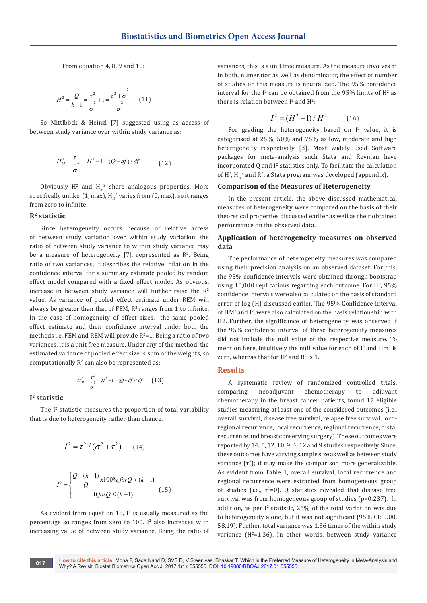From equation 4, 8, 9 and 10:

$$
H^{2} = \frac{Q}{k-1} = \frac{\tau^{2}}{2} + 1 = \frac{\tau^{2} + \sigma^{2}}{2}
$$
 (11)

So Mittlböck & Heinzl [7] suggested using as access of between study variance over within study variance as:

$$
H_M^2 = \frac{\tau^2}{\sigma^2} = H^2 - 1 = (Q - df) / df \tag{12}
$$

Obviously  $H^2$  and  $H^2$  share analogous properties. More specifically unlike  $(1, \text{max})$ ,  $H_{M}^{2}$  varies from  $(0, \text{max})$ , so it ranges from zero to infinite.

## **R2 statistic**

Since heterogeneity occurs because of relative access of between study variation over within study variation, the ratio of between study variance to within study variance may be a measure of heterogeneity  $[7]$ , represented as  $\mathbb{R}^2$ . Being ratio of two variances, it describes the relative inflation in the confidence interval for a summary estimate pooled by random effect model compared with a fixed effect model. As obvious, increase in between study variance will further raise the  $R^2$ value. As variance of pooled effect estimate under REM will always be greater than that of  $FEM$ ,  $R^2$  ranges from 1 to infinite. In the case of homogeneity of effect sizes, the same pooled effect estimate and their confidence interval under both the methods i.e. FEM and REM will provide  $R^2$ =1. Being a ratio of two variances, it is a unit free measure. Under any of the method, the estimated variance of pooled effect size is sum of the weights, so computationally  $R^2$  can also be represented as:

$$
H_M^2 = \frac{\tau^2}{2} = H^2 - 1 = (Q - df) / df \qquad (13)
$$

#### **I2 statistic**

The I<sup>2</sup> statistic measures the proportion of total variability that is due to heterogeneity rather than chance.

$$
I^{2} = \tau^{2} / (\sigma^{2} + \tau^{2})
$$
 (14)

σ

$$
I^{2} = \begin{cases} \frac{Q - (k - 1)}{Q} x 100\% \text{ for } Q > (k - 1) \\ 0 \text{ for } Q \le (k - 1) \end{cases} \tag{15}
$$

As evident from equation 15,  $I^2$  is usually measured as the percentage so ranges from zero to  $100$ . I<sup>2</sup> also increases with increasing value of between study variance. Being the ratio of variances, this is a unit free measure. As the measure involves  $\tau^2$ in both, numerator as well as denominator, the effect of number of studies on this measure is neutralized. The 95% confidence interval for the I<sup>2</sup> can be obtained from the 95% limits of  $H^2$  as there is relation between  $I^2$  and  $H^2$ :

$$
I^2 = (H^2 - 1) / H^2 \tag{16}
$$

For grading the heterogeneity based on  $I^2$  value, it is categorised at 25%, 50% and 75% as low, moderate and high heterogeneity respectively [3]. Most widely used Software packages for meta-analysis such Stata and Revman have incorporated  $Q$  and  $I^2$  statistics only. To facilitate the calculation of  $\mathrm{H}^2$ ,  $\mathrm{H}_{\mathrm{m}}^2$  and  $\mathrm{R}^2$ , a Stata program was developed (appendix).

#### **Comparison of the Measures of Heterogeneity**

In the present article, the above discussed mathematical measures of heterogeneity were compared on the basis of their theoretical properties discussed earlier as well as their obtained performance on the observed data.

## **Application of heterogeneity measures on observed data**

The performance of heterogeneity measures was compared using their precision analysis on an observed dataset. For this, the 95% confidence intervals were obtained through bootstrap using  $10,000$  replications regarding each outcome. For  $H^2$ , 95% confidence intervals were also calculated on the basis of standard error of log (H) discussed earlier. The 95% Confidence interval of HM<sup>2</sup> and I<sup>2</sup>, were also calculated on the basis relationship with H2. Further, the significance of heterogeneity was observed if the 95% confidence interval of these heterogeneity measures did not include the null value of the respective measure. To mention here, intuitively the null value for each of  $I^2$  and  $\text{Hm}^2$  is zero, whereas that for  $H^2$  and  $R^2$  is 1.

#### **Results**

A systematic review of randomized controlled trials, comparing neoadjuvant chemotherapy to adjuvant chemotherapy in the breast cancer patients, found 17 eligible studies measuring at least one of the considered outcomes (i.e., overall survival, disease free survival, relapse free survival, locoregional recurrence, local recurrence, regional recurrence, distal recurrence and breast conserving surgery). These outcomes were reported by 14, 6, 12, 10, 9, 4, 12 and 9 studies respectively. Since, these outcomes have varying sample size as well as between study variance  $(\tau^2)$ ; it may make the comparison more generalizable. As evident from Table 1, overall survival, local recurrence and regional recurrence were extracted from homogeneous group of studies (i.e.,  $\tau^2=0$ ). Q statistics revealed that disease free survival was from homogeneous group of studies (p=0.237). In addition, as per  $I^2$  statistic, 26% of the total variation was due to heterogeneity alone, but it was not significant (95% CI: 0.00, 58.19). Further, total variance was 1.36 times of the within study  $variance$  ( $H^2$ =1.36). In other words, between study variance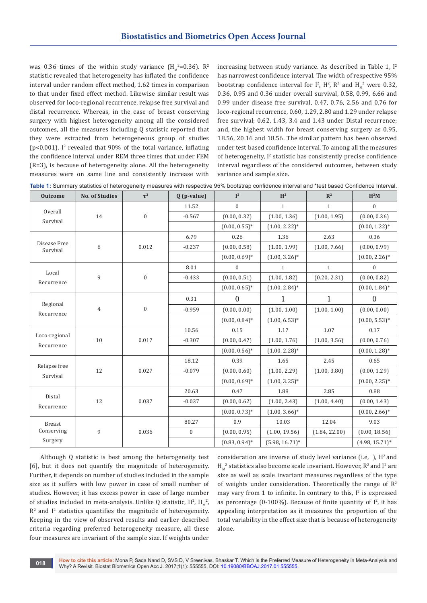was  $0.36$  times of the within study variance  $(H_{\scriptscriptstyle M}^{\scriptscriptstyle 2}=0.36)$ . R<sup>2</sup> statistic revealed that heterogeneity has inflated the confidence interval under random effect method, 1.62 times in comparison to that under fixed effect method. Likewise similar result was observed for loco-regional recurrence, relapse free survival and distal recurrence. Whereas, in the case of breast conserving surgery with highest heterogeneity among all the considered outcomes, all the measures including Q statistic reported that they were extracted from heterogeneous group of studies ( $p$ <0.001). I<sup>2</sup> revealed that 90% of the total variance, inflating the confidence interval under REM three times that under FEM (R=3), is because of heterogeneity alone. All the heterogeneity measures were on same line and consistently increase with

increasing between study variance. As described in Table 1,  $I^2$ has narrowest confidence interval. The width of respective 95% bootstrap confidence interval for  $I^2$ ,  $H^2$ ,  $R^2$  and  $H_M^2$  were 0.32, 0.36, 0.95 and 0.36 under overall survival, 0.58, 0.99, 6.66 and 0.99 under disease free survival, 0.47, 0.76, 2.56 and 0.76 for loco-regional recurrence, 0.60, 1.29, 2.80 and 1.29 under relapse free survival; 0.62, 1.43, 3.4 and 1.43 under Distal recurrence; and, the highest width for breast conserving surgery as 0.95, 18.56, 20.16 and 18.56. The similar pattern has been observed under test based confidence interval. To among all the measures of heterogeneity, I<sup>2</sup> statistic has consistently precise confidence interval regardless of the considered outcomes, between study variance and sample size.

**Table 1:** Summary statistics of heterogeneity measures with respective 95% bootstrap confidence interval and \*test based Confidence Interval.

| <b>Outcome</b>                         | <b>No. of Studies</b> | $\tau^2$         | $Q(p-value)$     | $\mathbf{I}^2$   | H <sup>2</sup>    | $\mathbb{R}^2$ | $\mathbf{H}^2\mathbf{M}$ |
|----------------------------------------|-----------------------|------------------|------------------|------------------|-------------------|----------------|--------------------------|
| Overall<br>Survival                    | 14                    | $\boldsymbol{0}$ | 11.52            | $\boldsymbol{0}$ | $\mathbf{1}$      | $\mathbf{1}$   | $\mathbf{0}$             |
|                                        |                       |                  | $-0.567$         | (0.00, 0.32)     | (1.00, 1.36)      | (1.00, 1.95)   | (0.00, 0.36)             |
|                                        |                       |                  |                  | $(0.00, 0.55)^*$ | $(1.00, 2.22)^*$  |                | $(0.00, 1.22)^*$         |
| Disease Free<br>Survival               | 6                     | 0.012            | 6.79             | 0.26             | 1.36              | 2.63           | 0.36                     |
|                                        |                       |                  | $-0.237$         | (0.00, 0.58)     | (1.00, 1.99)      | (1.00, 7.66)   | (0.00, 0.99)             |
|                                        |                       |                  |                  | $(0.00, 0.69)*$  | $(1.00, 3.26)^*$  |                | $(0.00, 2.26)^*$         |
| Local<br>Recurrence                    | 9                     | $\boldsymbol{0}$ | 8.01             | $\boldsymbol{0}$ | $\mathbf{1}$      | $\mathbf{1}$   | $\boldsymbol{0}$         |
|                                        |                       |                  | $-0.433$         | (0.00, 0.51)     | (1.00, 1.82)      | (0.20, 2.31)   | (0.00, 0.82)             |
|                                        |                       |                  |                  | $(0.00, 0.65)^*$ | $(1.00, 2.84)^*$  |                | $(0.00, 1.84)^*$         |
| Regional<br>Recurrence                 | $\overline{4}$        | $\boldsymbol{0}$ | 0.31             | $\overline{0}$   | 1                 | $\mathbf{1}$   | $\overline{0}$           |
|                                        |                       |                  | $-0.959$         | (0.00, 0.00)     | (1.00, 1.00)      | (1.00, 1.00)   | (0.00, 0.00)             |
|                                        |                       |                  |                  | $(0.00, 0.84)^*$ | $(1.00, 6.53)*$   |                | $(0.00, 5.53)$ *         |
| Loco-regional<br>Recurrence            | 10                    | 0.017            | 10.56            | 0.15             | 1.17              | 1.07           | 0.17                     |
|                                        |                       |                  | $-0.307$         | (0.00, 0.47)     | (1.00, 1.76)      | (1.00, 3.56)   | (0.00, 0.76)             |
|                                        |                       |                  |                  | $(0.00, 0.56)^*$ | $(1.00, 2.28)^*$  |                | $(0.00, 1.28)^*$         |
| Relapse free<br>Survival               | 12                    | 0.027            | 18.12            | 0.39             | 1.65              | 2.45           | 0.65                     |
|                                        |                       |                  | $-0.079$         | (0.00, 0.60)     | (1.00, 2.29)      | (1.00, 3.80)   | (0.00, 1.29)             |
|                                        |                       |                  |                  | $(0.00, 0.69)^*$ | $(1.00, 3.25)^*$  |                | $(0.00, 2.25)^*$         |
| Distal<br>Recurrence                   | 12                    | 0.037            | 20.63            | 0.47             | 1.88              | 2.85           | 0.88                     |
|                                        |                       |                  | $-0.037$         | (0.00, 0.62)     | (1.00, 2.43)      | (1.00, 4.40)   | (0.00, 1.43)             |
|                                        |                       |                  |                  | $(0.00, 0.73)*$  | $(1.00, 3.66)^*$  |                | $(0.00, 2.66)^*$         |
| <b>Breast</b><br>Conserving<br>Surgery | 9                     | 0.036            | 80.27            | 0.9              | 10.03             | 12.04          | 9.03                     |
|                                        |                       |                  | $\boldsymbol{0}$ | (0.00, 0.95)     | (1.00, 19.56)     | (1.84, 22.00)  | (0.00, 18.56)            |
|                                        |                       |                  |                  | $(0.83, 0.94)^*$ | $(5.98, 16.71)^*$ |                | $(4.98, 15.71)^*$        |

Although Q statistic is best among the heterogeneity test [6], but it does not quantify the magnitude of heterogeneity. Further, it depends on number of studies included in the sample size as it suffers with low power in case of small number of studies. However, it has excess power in case of large number of studies included in meta-analysis. Unlike Q statistic,  $\mathrm{H}^2$ ,  $\mathrm{H}_{\mathrm{M}}^2$ ,  $\mathbb{R}^2$  and  $\mathbb{I}^2$  statistics quantifies the magnitude of heterogeneity. Keeping in the view of observed results and earlier described criteria regarding preferred heterogeneity measure, all these four measures are invariant of the sample size. If weights under

consideration are inverse of study level variance (i.e, ),  $H^2$  and  $H_{\rm M}^{-2}$  statistics also become scale invariant. However,  $R^2$  and I<sup>2</sup> are size as well as scale invariant measures regardless of the type of weights under consideration. Theoretically the range of  $\mathbb{R}^2$ may vary from 1 to infinite. In contrary to this,  $I^2$  is expressed as percentage (0-100%). Because of finite quantity of  $I^2$ , it has appealing interpretation as it measures the proportion of the total variability in the effect size that is because of heterogeneity alone.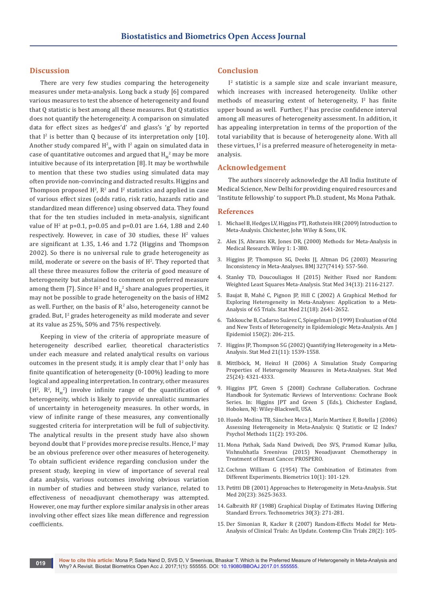## **Discussion**

There are very few studies comparing the heterogeneity measures under meta-analysis. Long back a study [6] compared various measures to test the absence of heterogeneity and found that Q statistic is best among all these measures. But Q statistics does not quantify the heterogeneity. A comparison on simulated data for effect sizes as hedges'd' and glass's 'g' by reported that  $I^2$  is better than Q because of its interpretation only [10]. Another study compared  $\mathbf{H}_{_\mathrm{M}}^{\mathrm{z}}$  with  $\mathbf{I}^{\mathrm{z}}$  again on simulated data in case of quantitative outcomes and argued that  $H_M^2$  may be more intuitive because of its interpretation [8]. It may be worthwhile to mention that these two studies using simulated data may often provide non-convincing and distracted results. Higgins and Thompson proposed  $H^2$ ,  $\mathbb{R}^2$  and  $I^2$  statistics and applied in case of various effect sizes (odds ratio, risk ratio, hazards ratio and standardized mean difference) using observed data. They found that for the ten studies included in meta-analysis, significant value of H<sup>2</sup> at p=0.1, p=0.05 and p=0.01 are 1.64, 1.88 and 2.40 respectively. However, in case of 30 studies, these  $H^2$  values are significant at 1.35, 1.46 and 1.72 (Higgins and Thompson 2002). So there is no universal rule to grade heterogeneity as mild, moderate or severe on the basis of  $H^2$ . They reported that all these three measures follow the criteria of good measure of heterogeneity but abstained to comment on preferred measure among them [7]. Since  $H^2$  and  $H_M^2$  share analogues properties, it may not be possible to grade heterogeneity on the basis of HM2 as well. Further, on the basis of  $\mathbb{R}^2$  also, heterogeneity cannot be graded. But,  $I^2$  grades heterogeneity as mild moderate and sever at its value as 25%, 50% and 75% respectively.

Keeping in view of the criteria of appropriate measure of heterogeneity described earlier, theoretical characteristics under each measure and related analytical results on various outcomes in the present study, it is amply clear that  $I^2$  only has finite quantification of heterogeneity (0-100%) leading to more logical and appealing interpretation. In contrary, other measures  $(H^2, R^2, H^2)$  involve infinite range of the quantification of heterogeneity, which is likely to provide unrealistic summaries of uncertainty in heterogeneity measures. In other words, in view of infinite range of these measures, any conventionally suggested criteria for interpretation will be full of subjectivity. The analytical results in the present study have also shown beyond doubt that  $I^2$  provides more precise results. Hence,  $I^2$  may be an obvious preference over other measures of heterogeneity. To obtain sufficient evidence regarding conclusion under the present study, keeping in view of importance of several real data analysis, various outcomes involving obvious variation in number of studies and between study variance, related to effectiveness of neoadjuvant chemotherapy was attempted. However, one may further explore similar analysis in other areas involving other effect sizes like mean difference and regression coefficients.

## **Conclusion**

 $I<sup>2</sup>$  statistic is a sample size and scale invariant measure, which increases with increased heterogeneity. Unlike other methods of measuring extent of heterogeneity,  $I^2$  has finite upper bound as well. Further,  $I^2$  has precise confidence interval among all measures of heterogeneity assessment. In addition, it has appealing interpretation in terms of the proportion of the total variability that is because of heterogeneity alone. With all these virtues,  $I^2$  is a preferred measure of heterogeneity in metaanalysis.

#### **Acknowledgement**

The authors sincerely acknowledge the All India Institute of Medical Science, New Delhi for providing enquired resources and 'Institute fellowship' to support Ph.D. student, Ms Mona Pathak.

#### **References**

- 1. [Michael B, Hedges LV, Higgins PTJ, Rothstein HR \(2009\) Introduction to](http://as.wiley.com/WileyCDA/WileyTitle/productCd-EHEP002313.html)  [Meta-Analysis. Chichester, John Wiley & Sons, UK.](http://as.wiley.com/WileyCDA/WileyTitle/productCd-EHEP002313.html)
- 2. [Alex JS, Abrams KR, Jones DR, \(2000\) Methods for Meta-Analysis in](http://as.wiley.com/WileyCDA/WileyTitle/productCd-0471490660.html/)  [Medical Research. Wiley 1: 1-380.](http://as.wiley.com/WileyCDA/WileyTitle/productCd-0471490660.html/)
- 3. [Higgins JP, Thompson SG, Deeks JJ, Altman DG \(2003\) Measuring](https://www.ncbi.nlm.nih.gov/pubmed/12958120)  [Inconsistency in Meta-Analyses. BMJ 327\(7414\): 557-560.](https://www.ncbi.nlm.nih.gov/pubmed/12958120)
- 4. [Stanley TD, Doucouliagos H \(2015\) Neither Fixed nor Random:](https://www.ncbi.nlm.nih.gov/pubmed/25809462)  [Weighted Least Squares Meta-Analysis. Stat Med 34\(13\): 2116-2127.](https://www.ncbi.nlm.nih.gov/pubmed/25809462)
- 5. [Baujat B, Mahé C, Pignon JP, Hill C \(2002\) A Graphical Method for](https://www.ncbi.nlm.nih.gov/pubmed/12228882)  [Exploring Heterogeneity in Meta-Analyses: Application to a Meta-](https://www.ncbi.nlm.nih.gov/pubmed/12228882)[Analysis of 65 Trials. Stat Med 21\(18\): 2641-2652.](https://www.ncbi.nlm.nih.gov/pubmed/12228882)
- 6. Takkouche B, Cadarso Suárez [C, Spiegelman D \(1999\) Evaluation of Old](https://www.ncbi.nlm.nih.gov/pubmed/10412966)  [and New Tests of Heterogeneity in Epidemiologic Meta-Analysis. Am J](https://www.ncbi.nlm.nih.gov/pubmed/10412966)  [Epidemiol 150\(2\): 206-215.](https://www.ncbi.nlm.nih.gov/pubmed/10412966)
- 7. [Higgins JP, Thompson SG \(2002\) Quantifying Heterogeneity in a Meta-](https://www.ncbi.nlm.nih.gov/pubmed/12111919)[Analysis. Stat Med 21\(11\): 1539-1558.](https://www.ncbi.nlm.nih.gov/pubmed/12111919)
- 8. [Mittlböck, M, Heinzl H \(2006\) A Simulation Study Comparing](https://www.ncbi.nlm.nih.gov/pubmed/16991104)  [Properties of Heterogeneity Measures in Meta-Analyses. Stat Med](https://www.ncbi.nlm.nih.gov/pubmed/16991104)  [25\(24\): 4321-4333.](https://www.ncbi.nlm.nih.gov/pubmed/16991104)
- 9. [Higgins JPT, Green S \(2008\) Cochrane Collaboration. Cochrane](http://onlinelibrary.wiley.com/book/10.1002/9780470712184)  [Handbook for Systematic Reviews of Interventions: Cochrane Book](http://onlinelibrary.wiley.com/book/10.1002/9780470712184)  [Series. In: Higgins JPT and Green S \(Eds.\), Chichester England,](http://onlinelibrary.wiley.com/book/10.1002/9780470712184)  [Hoboken, NJ: Wiley-Blackwell, USA.](http://onlinelibrary.wiley.com/book/10.1002/9780470712184)
- 10. [Huedo Medina TB, Sánchez Meca J, Marín Martínez F, Botella J \(2006\)](https://www.ncbi.nlm.nih.gov/pubmed/16784338)  [Assessing Heterogeneity in Meta-Analysis: Q Statistic or I2 Index?](https://www.ncbi.nlm.nih.gov/pubmed/16784338)  [Psychol Methods 11\(2\): 193-206.](https://www.ncbi.nlm.nih.gov/pubmed/16784338)
- 11. [Mona Pathak, Sada Nand Dwivedi, Deo SVS, Pramod Kumar Julka,](http://www.crd.york.ac.uk/PROSPERO/display_record.asp?ID=CRD42015023339)  [Vishnubhatla Sreenivas \(2015\) Neoadjuvant Chemotherapy in](http://www.crd.york.ac.uk/PROSPERO/display_record.asp?ID=CRD42015023339)  [Treatment of Breast Cancer. PROSPERO.](http://www.crd.york.ac.uk/PROSPERO/display_record.asp?ID=CRD42015023339)
- 12. Cochran William G (1954) The Combination of Estimates from Different Experiments. Biometrics 10(1): 101-129.
- 13. [Petitti DB \(2001\) Approaches to Heterogeneity in Meta-Analysis. Stat](https://www.ncbi.nlm.nih.gov/pubmed/11746342)  [Med 20\(23\): 3625-3633.](https://www.ncbi.nlm.nih.gov/pubmed/11746342)
- 14. Galbraith RF (1988) Graphical Display of Estimates Having Differing Standard Errors. Technometrics 30(3): 271-281.
- 15. Der Simonian R, Kacker [R \(2007\) Random-Effects Model for Meta-](https://www.ncbi.nlm.nih.gov/pubmed/16807131)[Analysis of Clinical Trials: An Update. Contemp Clin Trials 28\(2\): 105-](https://www.ncbi.nlm.nih.gov/pubmed/16807131)